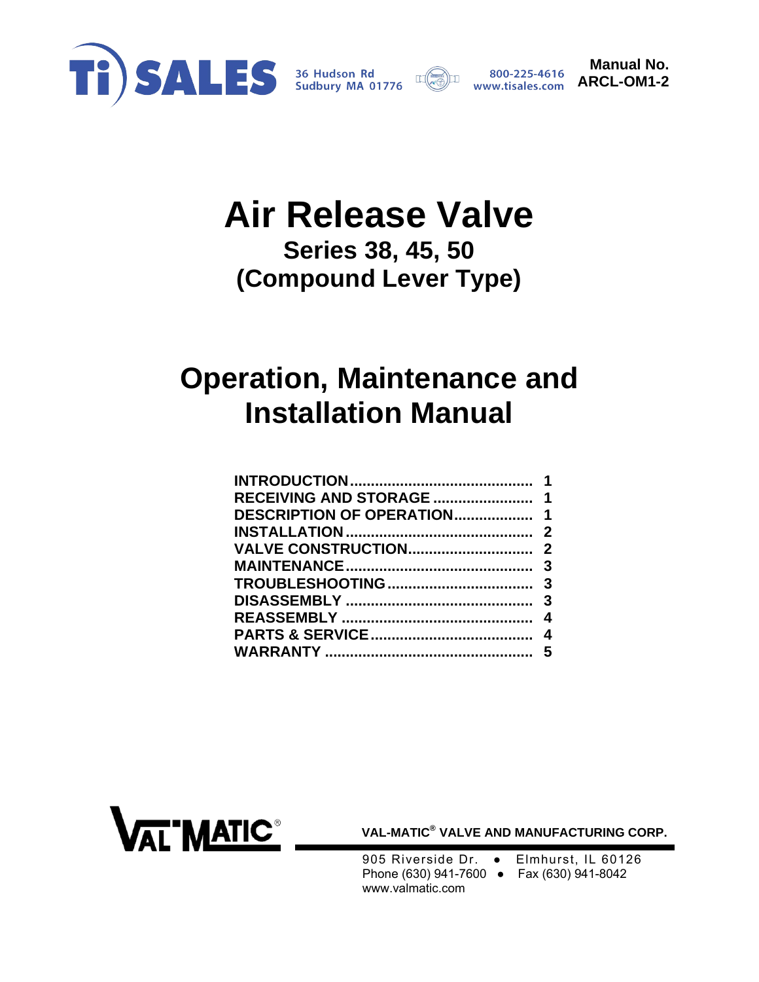



**Manual No. ARCL-OM1-2** 

# **Air Release Valve Series 38, 45, 50**

**(Compound Lever Type)** 

# **Operation, Maintenance and Installation Manual**

| <b>DESCRIPTION OF OPERATION 1</b> |  |
|-----------------------------------|--|
|                                   |  |
|                                   |  |
|                                   |  |
|                                   |  |
|                                   |  |
|                                   |  |
|                                   |  |
|                                   |  |
|                                   |  |



**VAL-MATIC® VALVE AND MANUFACTURING CORP.** 

905 Riverside Dr. • Elmhurst, IL 60126 Phone (630) 941-7600 ● Fax (630) 941-8042 www.valmatic.com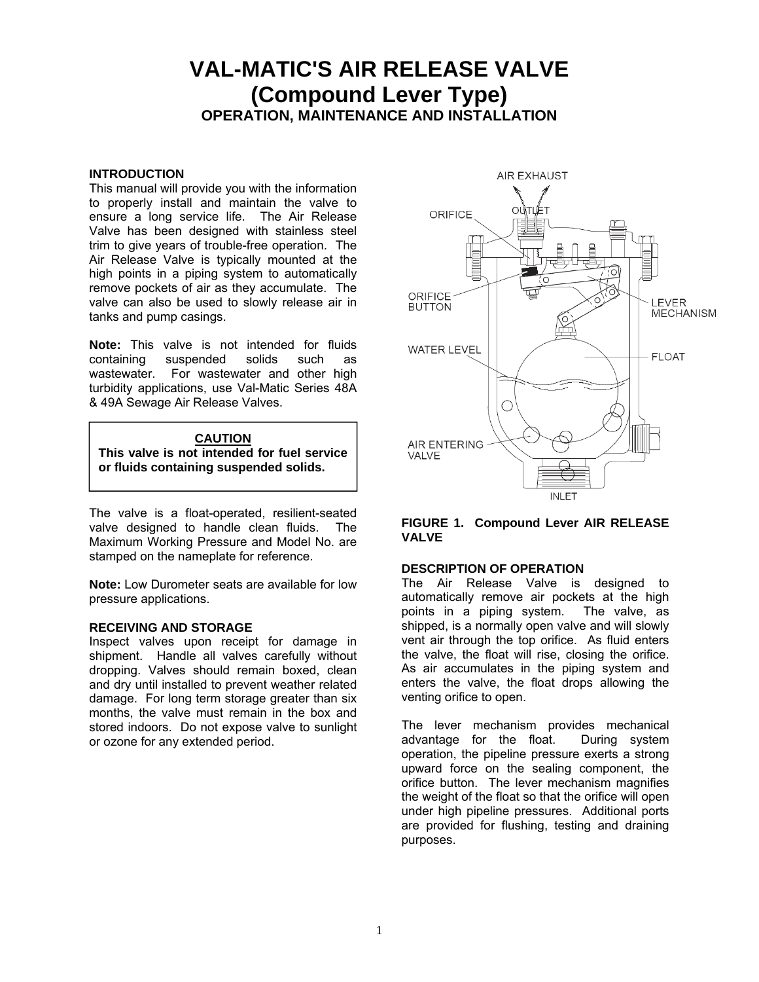## **VAL-MATIC'S AIR RELEASE VALVE (Compound Lever Type) OPERATION, MAINTENANCE AND INSTALLATION**

#### <span id="page-1-0"></span>**INTRODUCTION**

This manual will provide you with the information to properly install and maintain the valve to ensure a long service life. The Air Release Valve has been designed with stainless steel trim to give years of trouble-free operation. The Air Release Valve is typically mounted at the high points in a piping system to automatically remove pockets of air as they accumulate. The valve can also be used to slowly release air in tanks and pump casings.

**Note:** This valve is not intended for fluids containing suspended solids such as wastewater. For wastewater and other high turbidity applications, use Val-Matic Series 48A & 49A Sewage Air Release Valves.

#### **CAUTION**

**This valve is not intended for fuel service or fluids containing suspended solids.**

The valve is a float-operated, resilient-seated valve designed to handle clean fluids. The Maximum Working Pressure and Model No. are stamped on the nameplate for reference.

**Note:** Low Durometer seats are available for low pressure applications.

#### **RECEIVING AND STORAGE**

Inspect valves upon receipt for damage in shipment. Handle all valves carefully without dropping. Valves should remain boxed, clean and dry until installed to prevent weather related damage. For long term storage greater than six months, the valve must remain in the box and stored indoors. Do not expose valve to sunlight or ozone for any extended period.



#### **FIGURE 1. Compound Lever AIR RELEASE VALVE**

#### **DESCRIPTION OF OPERATION**

The Air Release Valve is designed to automatically remove air pockets at the high points in a piping system. The valve, as shipped, is a normally open valve and will slowly vent air through the top orifice. As fluid enters the valve, the float will rise, closing the orifice. As air accumulates in the piping system and enters the valve, the float drops allowing the venting orifice to open.

The lever mechanism provides mechanical advantage for the float. During system operation, the pipeline pressure exerts a strong upward force on the sealing component, the orifice button. The lever mechanism magnifies the weight of the float so that the orifice will open under high pipeline pressures. Additional ports are provided for flushing, testing and draining purposes.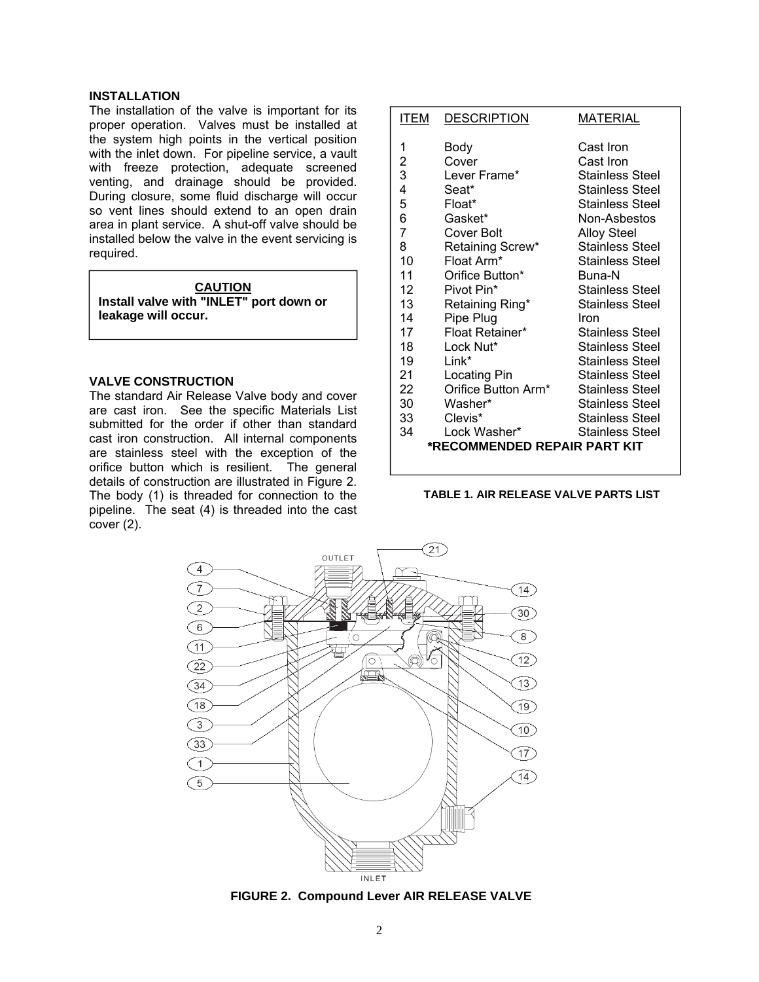#### <span id="page-2-0"></span>**INSTALLATION**

The installation of the valve is important for its proper operation. Valves must be installed at the system high points in the vertical position with the inlet down. For pipeline service, a vault with freeze protection, adequate screened venting, and drainage should be provided. During closure, some fluid discharge will occur so vent lines should extend to an open drain area in plant service. A shut-off valve should be installed below the valve in the event servicing is required.

| <b>CAUTION</b>                          |  |  |
|-----------------------------------------|--|--|
| Install valve with "INLET" port down or |  |  |
| leakage will occur.                     |  |  |

#### **VALVE CONSTRUCTION**

The standard Air Release Valve body and cover are cast iron. See the specific Materials List submitted for the order if other than standard cast iron construction. All internal components are stainless steel with the exception of the orifice button which is resilient. The general details of construction are illustrated in Figure 2. The body (1) is threaded for connection to the pipeline. The seat (4) is threaded into the cast cover (2).

| ITEM           | <b>DESCRIPTION</b>           | MATERIAL               |
|----------------|------------------------------|------------------------|
| 1              | Body                         | Cast Iron              |
| $\overline{c}$ | Cover                        | Cast Iron              |
| 3              | Lever Frame*                 | <b>Stainless Steel</b> |
| 4              | Seat*                        | <b>Stainless Steel</b> |
| 5              | Float*                       | <b>Stainless Steel</b> |
| 6              | Gasket*                      | Non-Asbestos           |
| 7              | Cover Bolt                   | <b>Alloy Steel</b>     |
| 8              | Retaining Screw*             | <b>Stainless Steel</b> |
| 10             | Float Arm*                   | <b>Stainless Steel</b> |
| 11             | Orifice Button*              | Buna-N                 |
| 12             | Pivot Pin*                   | Stainless Steel        |
| 13             | Retaining Ring*              | <b>Stainless Steel</b> |
| 14             | Pipe Plug                    | Iron                   |
| 17             | Float Retainer*              | <b>Stainless Steel</b> |
| 18             | Lock Nut*                    | <b>Stainless Steel</b> |
| 19             | $Link^*$                     | <b>Stainless Steel</b> |
| 21             | Locating Pin                 | Stainless Steel        |
| 22             | Orifice Button Arm*          | <b>Stainless Steel</b> |
| 30             | Washer*                      | Stainless Steel        |
| 33             | Clevis*                      | Stainless Steel        |
| 34             | Lock Washer*                 | Stainless Steel        |
|                | *RECOMMENDED REPAIR PART KIT |                        |
|                |                              |                        |

#### **TABLE 1. AIR RELEASE VALVE PARTS LIST**



**FIGURE 2. Compound Lever AIR RELEASE VALVE**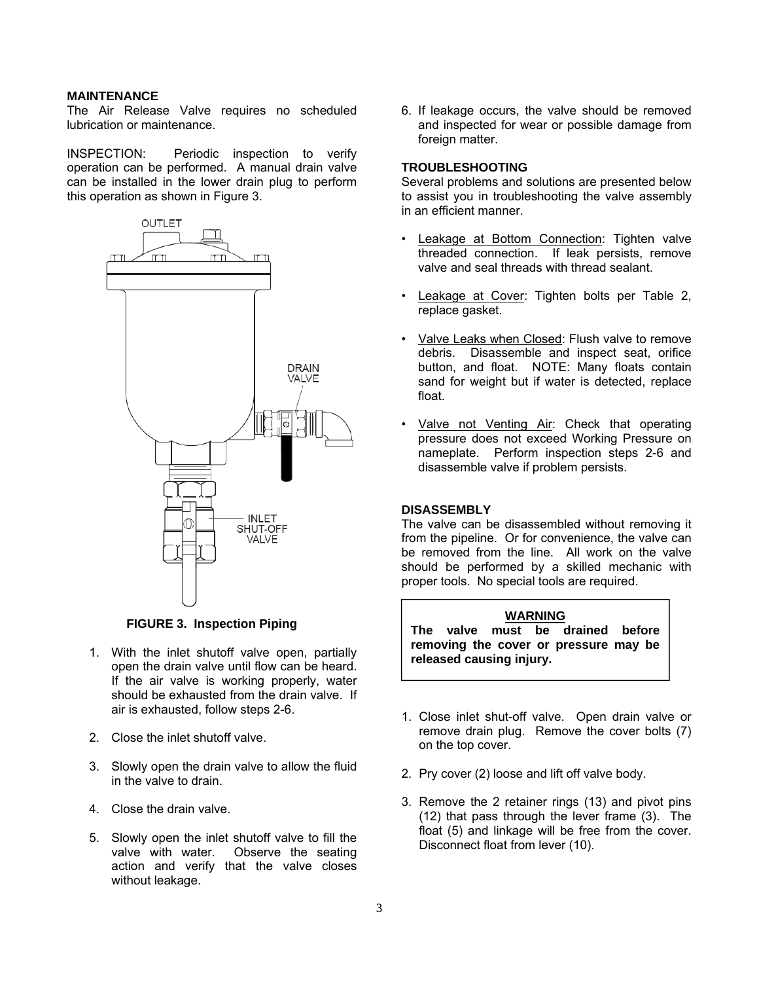#### <span id="page-3-0"></span>**MAINTENANCE**

The Air Release Valve requires no scheduled lubrication or maintenance.

INSPECTION: Periodic inspection to verify operation can be performed. A manual drain valve can be installed in the lower drain plug to perform this operation as shown in Figure 3.



#### **FIGURE 3. Inspection Piping**

- 1. With the inlet shutoff valve open, partially open the drain valve until flow can be heard. If the air valve is working properly, water should be exhausted from the drain valve. If air is exhausted, follow steps 2-6.
- 2. Close the inlet shutoff valve.
- 3. Slowly open the drain valve to allow the fluid in the valve to drain.
- 4. Close the drain valve.
- 5. Slowly open the inlet shutoff valve to fill the valve with water. Observe the seating action and verify that the valve closes without leakage.

6. If leakage occurs, the valve should be removed and inspected for wear or possible damage from foreign matter.

#### **TROUBLESHOOTING**

Several problems and solutions are presented below to assist you in troubleshooting the valve assembly in an efficient manner.

- Leakage at Bottom Connection: Tighten valve threaded connection. If leak persists, remove valve and seal threads with thread sealant.
- Leakage at Cover: Tighten bolts per Table 2, replace gasket.
- Valve Leaks when Closed: Flush valve to remove debris. Disassemble and inspect seat, orifice button, and float. NOTE: Many floats contain sand for weight but if water is detected, replace float.
- Valve not Venting Air: Check that operating pressure does not exceed Working Pressure on nameplate. Perform inspection steps 2-6 and disassemble valve if problem persists.

#### **DISASSEMBLY**

The valve can be disassembled without removing it from the pipeline. Or for convenience, the valve can be removed from the line. All work on the valve should be performed by a skilled mechanic with proper tools. No special tools are required.

### **WARNING The valve must be drained before removing the cover or pressure may be released causing injury.**

- 1. Close inlet shut-off valve. Open drain valve or remove drain plug. Remove the cover bolts (7) on the top cover.
- 2. Pry cover (2) loose and lift off valve body.
- 3. Remove the 2 retainer rings (13) and pivot pins (12) that pass through the lever frame (3). The float (5) and linkage will be free from the cover. Disconnect float from lever (10).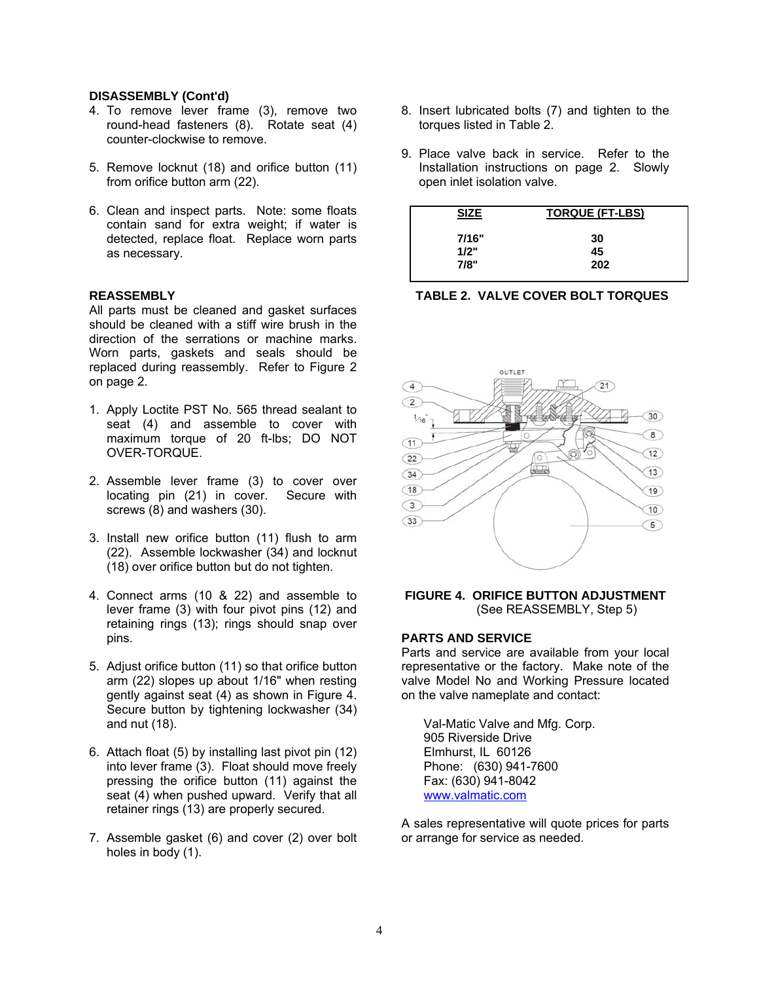#### <span id="page-4-0"></span>**DISASSEMBLY (Cont'd)**

- 4. To remove lever frame (3), remove two round-head fasteners (8). Rotate seat (4) counter-clockwise to remove.
- 5. Remove locknut (18) and orifice button (11) from orifice button arm (22).
- 6. Clean and inspect parts. Note: some floats contain sand for extra weight; if water is detected, replace float. Replace worn parts as necessary.

#### **REASSEMBLY**

All parts must be cleaned and gasket surfaces should be cleaned with a stiff wire brush in the direction of the serrations or machine marks. Worn parts, gaskets and seals should be replaced during reassembly. Refer to Figure 2 on page 2.

- 1. Apply Loctite PST No. 565 thread sealant to seat (4) and assemble to cover with maximum torque of 20 ft-lbs; DO NOT OVER-TORQUE.
- 2. Assemble lever frame (3) to cover over locating pin (21) in cover. Secure with screws (8) and washers (30).
- 3. Install new orifice button (11) flush to arm (22). Assemble lockwasher (34) and locknut (18) over orifice button but do not tighten.
- 4. Connect arms (10 & 22) and assemble to lever frame (3) with four pivot pins (12) and retaining rings (13); rings should snap over pins.
- 5. Adjust orifice button (11) so that orifice button arm (22) slopes up about 1/16" when resting gently against seat (4) as shown in Figure 4. Secure button by tightening lockwasher (34) and nut (18).
- 6. Attach float (5) by installing last pivot pin (12) into lever frame (3). Float should move freely pressing the orifice button (11) against the seat (4) when pushed upward. Verify that all retainer rings (13) are properly secured.
- 7. Assemble gasket (6) and cover (2) over bolt holes in body (1).
- 8. Insert lubricated bolts (7) and tighten to the torques listed in Table 2.
- 9. Place valve back in service. Refer to the Installation instructions on page 2. Slowly open inlet isolation valve.

| <b>SIZE</b> | <b>TORQUE (FT-LBS)</b> |
|-------------|------------------------|
| 7/16"       | 30                     |
| 1/2"        | 45                     |
| 7/8"        | 202                    |





#### **FIGURE 4. ORIFICE BUTTON ADJUSTMENT** (See REASSEMBLY, Step 5)

#### **PARTS AND SERVICE**

Parts and service are available from your local representative or the factory. Make note of the valve Model No and Working Pressure located on the valve nameplate and contact:

Val-Matic Valve and Mfg. Corp. 905 Riverside Drive Elmhurst, IL 60126 Phone: (630) 941-7600 Fax: (630) 941-8042 www.valmatic.com

A sales representative will quote prices for parts or arrange for service as needed.